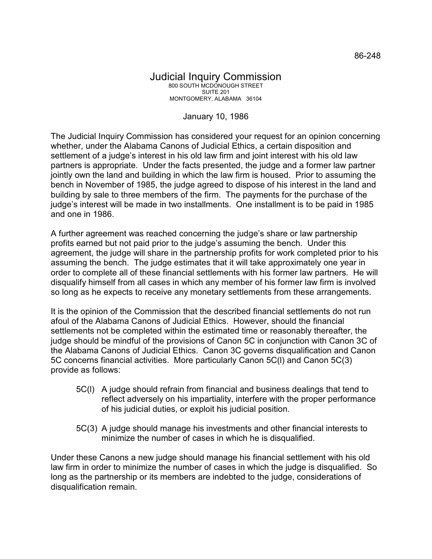## Judicial Inquiry Commission 800 SOUTH MCDONOUGH STREET SUITE 201 MONTGOMERY, ALABAMA 36104

## January 10, 1986

The Judicial Inquiry Commission has considered your request for an opinion concerning whether, under the Alabama Canons of Judicial Ethics, a certain disposition and settlement of a judge's interest in his old law firm and joint interest with his old law partners is appropriate. Under the facts presented, the judge and a former law partner jointly own the land and building in which the law firm is housed. Prior to assuming the bench in November of 1985, the judge agreed to dispose of his interest in the land and building by sale to three members of the firm. The payments for the purchase of the judge's interest will be made in two installments. One installment is to be paid in 1985 and one in 1986.

A further agreement was reached concerning the judge's share or law partnership profits earned but not paid prior to the judge's assuming the bench. Under this agreement, the judge will share in the partnership profits for work completed prior to his assuming the bench. The judge estimates that it will take approximately one year in order to complete all of these financial settlements with his former law partners. He will disqualify himself from all cases in which any member of his former law firm is involved so long as he expects to receive any monetary settlements from these arrangements.

It is the opinion of the Commission that the described financial settlements do not run afoul of the Alabama Canons of Judicial Ethics. However, should the financial settlements not be completed within the estimated time or reasonably thereafter, the judge should be mindful of the provisions of Canon 5C in conjunction with Canon 3C of the Alabama Canons of Judicial Ethics. Canon 3C governs disqualification and Canon 5C concerns financial activities. More particularly Canon 5C(l) and Canon 5C(3) provide as follows:

- 5C(l) A judge should refrain from financial and business dealings that tend to reflect adversely on his impartiality, interfere with the proper performance of his judicial duties, or exploit his judicial position.
- 5C(3) A judge should manage his investments and other financial interests to minimize the number of cases in which he is disqualified.

Under these Canons a new judge should manage his financial settlement with his old law firm in order to minimize the number of cases in which the judge is disqualified. So long as the partnership or its members are indebted to the judge, considerations of disqualification remain.